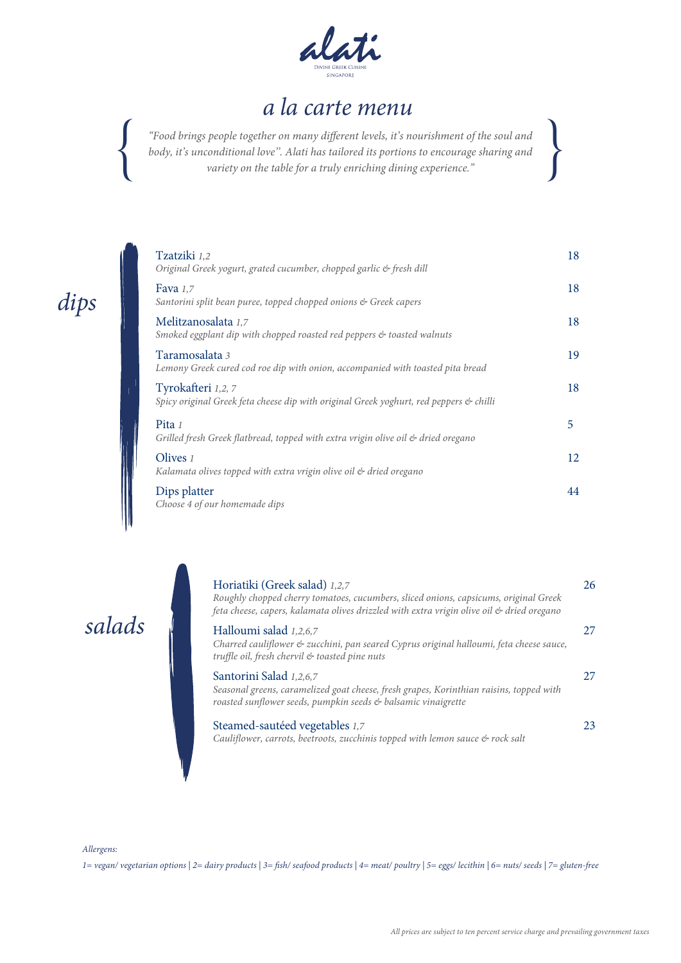

"Food brings people together on many different levels, it's nourishment of the soul and *body, it's unconditional love''. Alati has tailored its portions to encourage sharing and* { *variety on the table for a truly enriching dining experience."* {



| Tzatziki 1,2        | Original Greek yogurt, grated cucumber, chopped garlic & fresh dill                    | 18 |
|---------------------|----------------------------------------------------------------------------------------|----|
| Fava $1,7$          | Santorini split bean puree, topped chopped onions & Greek capers                       | 18 |
| Melitzanosalata 1,7 | Smoked eggplant dip with chopped roasted red peppers & toasted walnuts                 | 18 |
| Taramosalata 3      | Lemony Greek cured cod roe dip with onion, accompanied with toasted pita bread         | 19 |
| Tyrokafteri 1,2, 7  | Spicy original Greek feta cheese dip with original Greek yoghurt, red peppers & chilli | 18 |
| Pita $1$            | Grilled fresh Greek flatbread, topped with extra vrigin olive oil & dried oregano      | 5  |
| Olives $\iota$      | Kalamata olives topped with extra vrigin olive oil & dried oregano                     | 12 |
| Dips platter        | Choose 4 of our homemade dips                                                          | 44 |

*salads*

| Horiatiki (Greek salad) 1,2,7<br>Roughly chopped cherry tomatoes, cucumbers, sliced onions, capsicums, original Greek<br>feta cheese, capers, kalamata olives drizzled with extra vrigin olive oil & dried oregano | 26  |
|--------------------------------------------------------------------------------------------------------------------------------------------------------------------------------------------------------------------|-----|
| Halloumi salad 1,2,6,7<br>Charred cauliflower & zucchini, pan seared Cyprus original halloumi, feta cheese sauce,<br>truffle oil, fresh chervil & toasted pine nuts                                                |     |
| Santorini Salad 1,2,6,7<br>Seasonal greens, caramelized goat cheese, fresh grapes, Korinthian raisins, topped with<br>roasted sunflower seeds, pumpkin seeds & balsamic vinaigrette                                | 27. |
| Steamed-sautéed vegetables 1,7<br>Cauliflower, carrots, beetroots, zucchinis topped with lemon sauce & rock salt                                                                                                   | 23  |

*Allergens:*

*1= vegan/ vegetarian options | 2= dairy products | 3= sh/ seafood products | 4= meat/ poultry | 5= eggs/ lecithin | 6= nuts/ seeds | 7= gluten-free*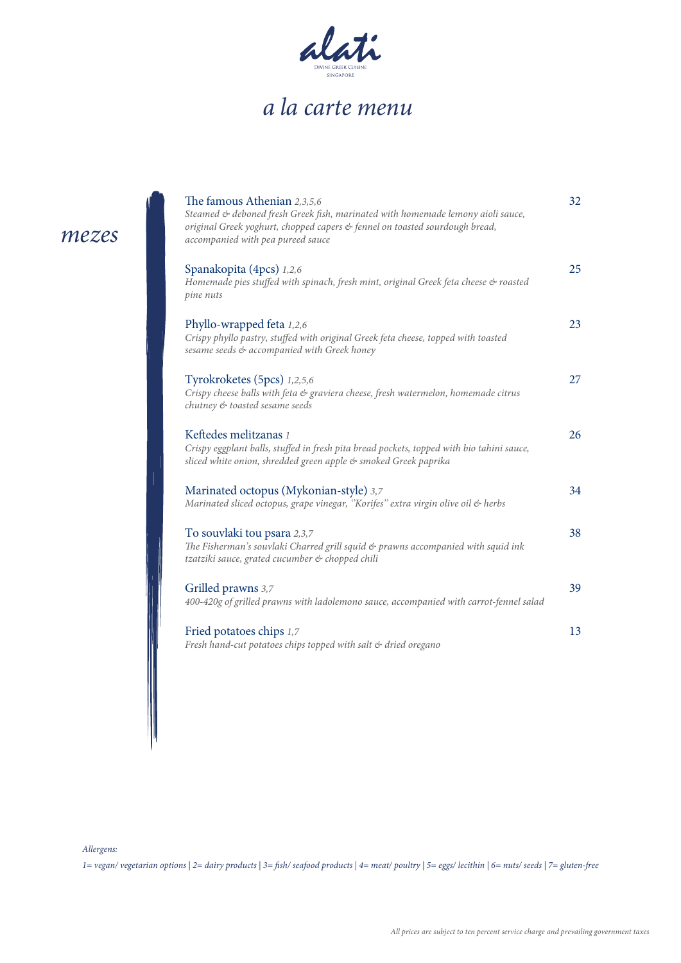

| The famous Athenian 2,3,5,6<br>Steamed & deboned fresh Greek fish, marinated with homemade lemony aioli sauce,<br>original Greek yoghurt, chopped capers & fennel on toasted sourdough bread,<br>accompanied with pea pureed sauce | 32 |
|------------------------------------------------------------------------------------------------------------------------------------------------------------------------------------------------------------------------------------|----|
| Spanakopita (4pcs) 1,2,6<br>Homemade pies stuffed with spinach, fresh mint, original Greek feta cheese & roasted<br>pine nuts                                                                                                      | 25 |
| Phyllo-wrapped feta 1,2,6<br>Crispy phyllo pastry, stuffed with original Greek feta cheese, topped with toasted<br>sesame seeds & accompanied with Greek honey                                                                     | 23 |
| Tyrokroketes (5pcs) 1,2,5,6<br>Crispy cheese balls with feta & graviera cheese, fresh watermelon, homemade citrus<br>chutney & toasted sesame seeds                                                                                | 27 |
| Keftedes melitzanas 1<br>Crispy eggplant balls, stuffed in fresh pita bread pockets, topped with bio tahini sauce,<br>sliced white onion, shredded green apple & smoked Greek paprika                                              | 26 |
| Marinated octopus (Mykonian-style) 3,7<br>Marinated sliced octopus, grape vinegar, "Korifes" extra virgin olive oil & herbs                                                                                                        | 34 |
| To souvlaki tou psara 2,3,7<br>The Fisherman's souvlaki Charred grill squid & prawns accompanied with squid ink<br>tzatziki sauce, grated cucumber & chopped chili                                                                 | 38 |
| Grilled prawns 3,7<br>400-420g of grilled prawns with ladolemono sauce, accompanied with carrot-fennel salad                                                                                                                       | 39 |
| Fried potatoes chips 1,7<br>Fresh hand-cut potatoes chips topped with salt & dried oregano                                                                                                                                         | 13 |

*Allergens:*

*mezes*

*1= vegan/ vegetarian options | 2= dairy products | 3= sh/ seafood products | 4= meat/ poultry | 5= eggs/ lecithin | 6= nuts/ seeds | 7= gluten-free*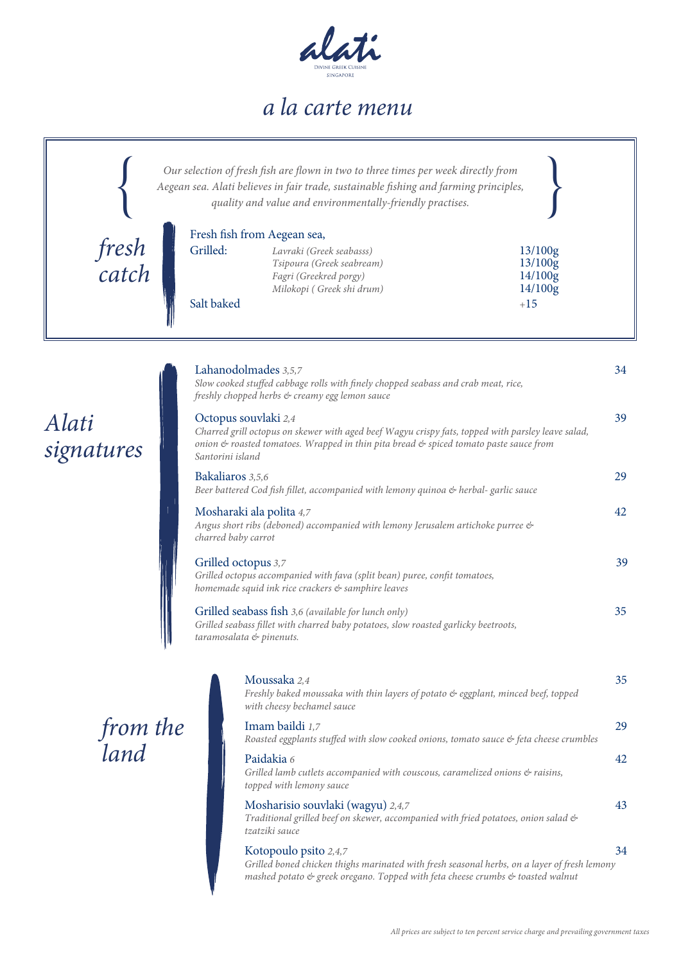

|                     | Our selection of fresh fish are flown in two to three times per week directly from<br>Aegean sea. Alati believes in fair trade, sustainable fishing and farming principles,<br>quality and value and environmentally-friendly practises. |    |
|---------------------|------------------------------------------------------------------------------------------------------------------------------------------------------------------------------------------------------------------------------------------|----|
| fresh<br>catch      | Fresh fish from Aegean sea,<br>Grilled:<br>Lavraki (Greek seabasss)<br>13/100g<br>13/100g<br>Tsipoura (Greek seabream)<br>14/100g<br>Fagri (Greekred porgy)<br>14/100g<br>Milokopi (Greek shi drum)<br>Salt baked<br>$+15$               |    |
|                     | Lahanodolmades 3,5,7<br>Slow cooked stuffed cabbage rolls with finely chopped seabass and crab meat, rice,<br>freshly chopped herbs & creamy egg lemon sauce                                                                             | 34 |
| Alati<br>signatures | Octopus souvlaki 2,4<br>Charred grill octopus on skewer with aged beef Wagyu crispy fats, topped with parsley leave salad,<br>onion & roasted tomatoes. Wrapped in thin pita bread & spiced tomato paste sauce from<br>Santorini island  | 39 |
|                     | Bakaliaros 3,5,6<br>Beer battered Cod fish fillet, accompanied with lemony quinoa & herbal- garlic sauce                                                                                                                                 | 29 |
|                     | Mosharaki ala polita 4,7<br>Angus short ribs (deboned) accompanied with lemony Jerusalem artichoke purree &<br>charred baby carrot                                                                                                       | 42 |
|                     | Grilled octopus 3,7<br>Grilled octopus accompanied with fava (split bean) puree, confit tomatoes,<br>homemade squid ink rice crackers & samphire leaves                                                                                  | 39 |
|                     | Grilled seabass fish 3,6 (available for lunch only)<br>Grilled seabass fillet with charred baby potatoes, slow roasted garlicky beetroots,<br>taramosalata & pinenuts.                                                                   | 35 |
|                     | Moussaka 2,4<br>Freshly baked moussaka with thin layers of potato & eggplant, minced beef, topped<br>with cheesy bechamel sauce                                                                                                          | 35 |
| from the<br>land    | Imam baildi 1,7<br>Roasted eggplants stuffed with slow cooked onions, tomato sauce & feta cheese crumbles                                                                                                                                | 29 |
|                     | Paidakia 6<br>Grilled lamb cutlets accompanied with couscous, caramelized onions & raisins,<br>topped with lemony sauce                                                                                                                  | 42 |
|                     | Mosharisio souvlaki (wagyu) 2,4,7<br>Traditional grilled beef on skewer, accompanied with fried potatoes, onion salad &<br>tzatziki sauce                                                                                                | 43 |
|                     | Kotopoulo psito 2,4,7<br>Grilled boned chicken thighs marinated with fresh seasonal herbs, on a layer of fresh lemony<br>mashed potato & greek oregano. Topped with feta cheese crumbs & toasted walnut                                  | 34 |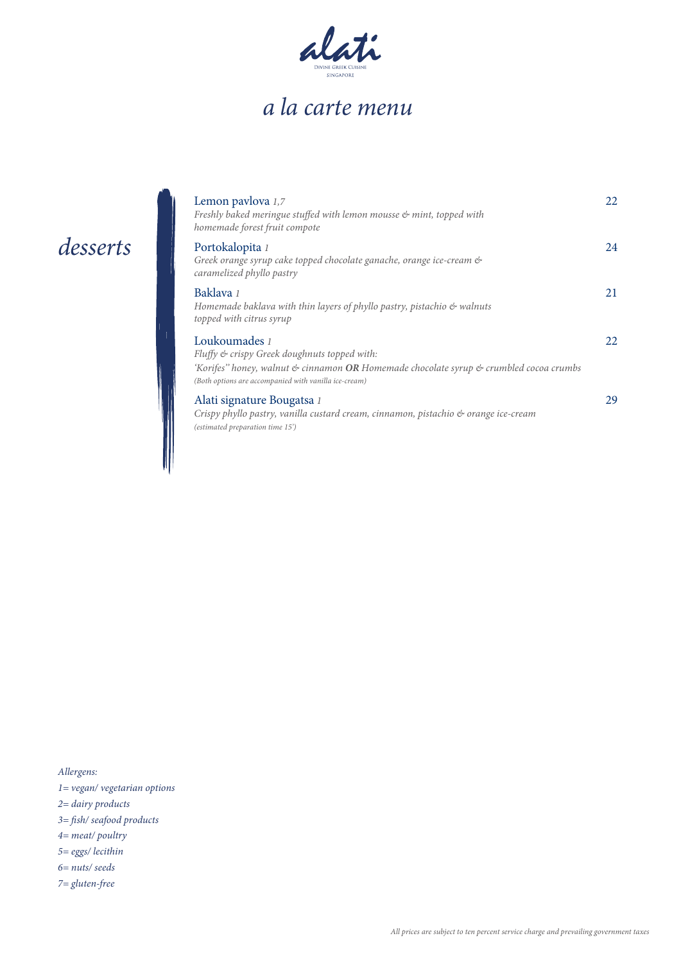

#### *desserts*

| Lemon paylova 1,7<br>Freshly baked meringue stuffed with lemon mousse & mint, topped with<br>homemade forest fruit compote                                                                                               | 22 |
|--------------------------------------------------------------------------------------------------------------------------------------------------------------------------------------------------------------------------|----|
| Portokalopita 1<br>Greek orange syrup cake topped chocolate ganache, orange ice-cream &<br>caramelized phyllo pastry                                                                                                     | 24 |
| Baklava 1<br>Homemade baklava with thin layers of phyllo pastry, pistachio $\mathfrak{G}$ walnuts<br>topped with citrus syrup                                                                                            | 21 |
| Loukoumades 1<br>Fluffy & crispy Greek doughnuts topped with:<br>'Korifes'' honey, walnut & cinnamon <b>OR</b> Homemade chocolate syrup & crumbled cocoa crumbs<br>(Both options are accompanied with vanilla ice-cream) | 22 |
| Alati signature Bougatsa 1<br>Crispy phyllo pastry, vanilla custard cream, cinnamon, pistachio $\phi$ orange ice-cream<br>(estimated preparation time 15')                                                               | 29 |

*Allergens:*

- *1= vegan/ vegetarian options*
- *2= dairy products*
- *3= sh/ seafood products*
- *4= meat/ poultry*
- *5= eggs/ lecithin*
- *6= nuts/ seeds*
- *7= gluten-free*